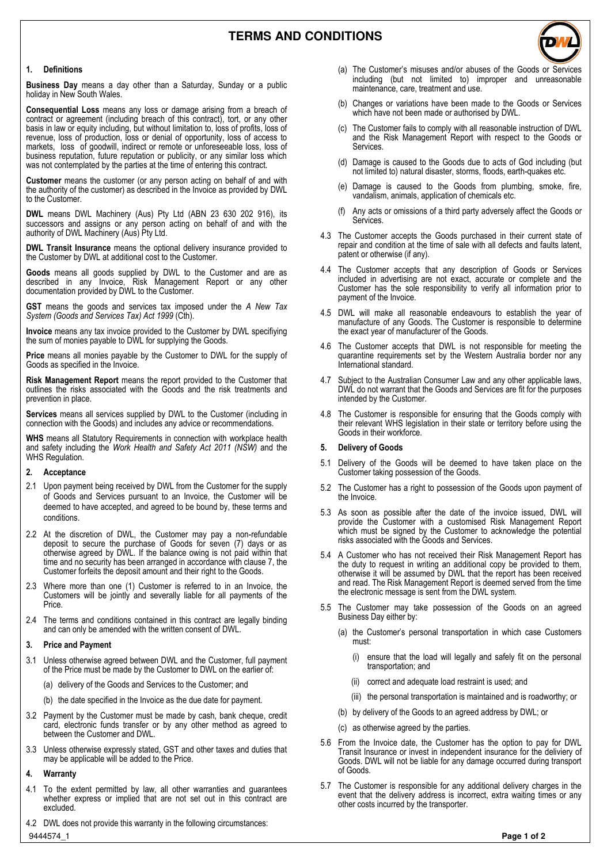

**Business Day** means a day other than a Saturday, Sunday or a public holiday in New South Wales.

**Consequential Loss** means any loss or damage arising from a breach of contract or agreement (including breach of this contract), tort, or any other basis in law or equity including, but without limitation to, loss of profits, loss of revenue, loss of production, loss or denial of opportunity, loss of access to markets, loss of goodwill, indirect or remote or unforeseeable loss, loss of business reputation, future reputation or publicity, or any similar loss which was not contemplated by the parties at the time of entering this contract.

**Customer** means the customer (or any person acting on behalf of and with the authority of the customer) as described in the Invoice as provided by DWL to the Customer.

**DWL** means DWL Machinery (Aus) Pty Ltd (ABN 23 630 202 916), its successors and assigns or any person acting on behalf of and with the authority of DWL Machinery (Aus) Pty Ltd.

**DWL Transit Insurance** means the optional delivery insurance provided to the Customer by DWL at additional cost to the Customer.

**Goods** means all goods supplied by DWL to the Customer and are as described in any Invoice, Risk Management Report or any other documentation provided by DWL to the Customer.

**GST** means the goods and services tax imposed under the *A New Tax System (Goods and Services Tax) Act 1999* (Cth).

**Invoice** means any tax invoice provided to the Customer by DWL specifiying the sum of monies payable to DWL for supplying the Goods.

**Price** means all monies payable by the Customer to DWL for the supply of Goods as specified in the Invoice.

**Risk Management Report** means the report provided to the Customer that outlines the risks associated with the Goods and the risk treatments and prevention in place.

**Services** means all services supplied by DWL to the Customer (including in connection with the Goods) and includes any advice or recommendations.

**WHS** means all Statutory Requirements in connection with workplace health and safety including the *Work Health and Safety Act 2011 (NSW)* and the WHS Regulation.

#### **2. Acceptance**

- 2.1 Upon payment being received by DWL from the Customer for the supply of Goods and Services pursuant to an Invoice, the Customer will be deemed to have accepted, and agreed to be bound by, these terms and conditions.
- 2.2 At the discretion of DWL, the Customer may pay a non-refundable deposit to secure the purchase of Goods for seven (7) days or as otherwise agreed by DWL. If the balance owing is not paid within that time and no security has been arranged in accordance with clause 7, the Customer forfeits the deposit amount and their right to the Goods.
- 2.3 Where more than one (1) Customer is referred to in an Invoice, the Customers will be jointly and severally liable for all payments of the Price.
- 2.4 The terms and conditions contained in this contract are legally binding and can only be amended with the written consent of DWL.

### **3. Price and Payment**

- 3.1 Unless otherwise agreed between DWL and the Customer, full payment of the Price must be made by the Customer to DWL on the earlier of:
	- (a) delivery of the Goods and Services to the Customer; and
	- (b) the date specified in the Invoice as the due date for payment.
- 3.2 Payment by the Customer must be made by cash, bank cheque, credit card, electronic funds transfer or by any other method as agreed to between the Customer and DWL.
- 3.3 Unless otherwise expressly stated, GST and other taxes and duties that may be applicable will be added to the Price.

## **4. Warranty**

- 4.1 To the extent permitted by law, all other warranties and guarantees whether express or implied that are not set out in this contract are excluded.
- 9444574\_1 **Page 1 of 2** 4.2 DWL does not provide this warranty in the following circumstances:
- (a) The Customer's misuses and/or abuses of the Goods or Services including (but not limited to) improper and unreasonable maintenance, care, treatment and use.
- (b) Changes or variations have been made to the Goods or Services which have not been made or authorised by DWL.
- (c) The Customer fails to comply with all reasonable instruction of DWL and the Risk Management Report with respect to the Goods or Services.
- (d) Damage is caused to the Goods due to acts of God including (but not limited to) natural disaster, storms, floods, earth-quakes etc.
- (e) Damage is caused to the Goods from plumbing, smoke, fire, vandalism, animals, application of chemicals etc.
- (f) Any acts or omissions of a third party adversely affect the Goods or Services.
- 4.3 The Customer accepts the Goods purchased in their current state of repair and condition at the time of sale with all defects and faults latent, patent or otherwise (if any).
- 4.4 The Customer accepts that any description of Goods or Services included in advertising are not exact, accurate or complete and the Customer has the sole responsibility to verify all information prior to payment of the Invoice.
- 4.5 DWL will make all reasonable endeavours to establish the year of manufacture of any Goods. The Customer is responsible to determine the exact year of manufacturer of the Goods.
- 4.6 The Customer accepts that DWL is not responsible for meeting the quarantine requirements set by the Western Australia border nor any International standard.
- 4.7 Subject to the Australian Consumer Law and any other applicable laws, DWL do not warrant that the Goods and Services are fit for the purposes intended by the Customer.
- 4.8 The Customer is responsible for ensuring that the Goods comply with their relevant WHS legislation in their state or territory before using the Goods in their workforce.

### **5. Delivery of Goods**

- 5.1 Delivery of the Goods will be deemed to have taken place on the Customer taking possession of the Goods.
- 5.2 The Customer has a right to possession of the Goods upon payment of the Invoice.
- 5.3 As soon as possible after the date of the invoice issued, DWL will provide the Customer with a customised Risk Management Report which must be signed by the Customer to acknowledge the potential risks associated with the Goods and Services.
- 5.4 A Customer who has not received their Risk Management Report has the duty to request in writing an additional copy be provided to them, otherwise it will be assumed by DWL that the report has been received and read. The Risk Management Report is deemed served from the time the electronic message is sent from the DWL system.
- 5.5 The Customer may take possession of the Goods on an agreed Business Day either by:
	- (a) the Customer's personal transportation in which case Customers must:
		- (i) ensure that the load will legally and safely fit on the personal transportation; and
		- (ii) correct and adequate load restraint is used; and
		- (iii) the personal transportation is maintained and is roadworthy; or
	- (b) by delivery of the Goods to an agreed address by DWL; or
	- (c) as otherwise agreed by the parties.
- 5.6 From the Invoice date, the Customer has the option to pay for DWL Transit Insurance or invest in independent insurance for the deliviery of Goods. DWL will not be liable for any damage occurred during transport of Goods.
- 5.7 The Customer is responsible for any additional delivery charges in the event that the delivery address is incorrect, extra waiting times or any other costs incurred by the transporter.